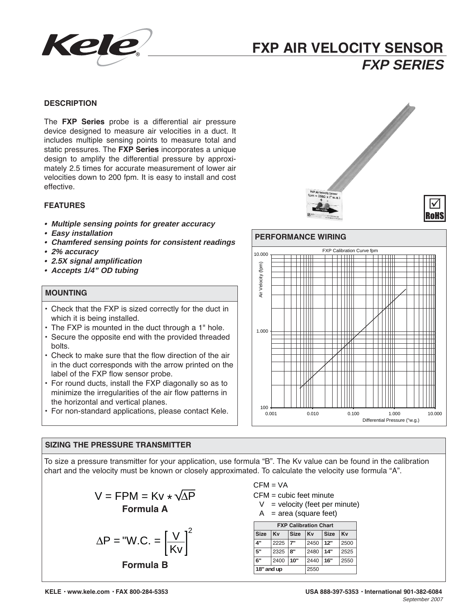

# **FXP AIR VELOCITY SENSOR FXP SERIES**

# **DESCRIPTION**

The **FXP Series** probe is a differential air pressure device designed to measure air velocities in a duct. It includes multiple sensing points to measure total and static pressures. The **FXP Series** incorporates a unique design to amplify the differential pressure by approximately 2.5 times for accurate measurement of lower air velocities down to 200 fpm. It is easy to install and cost effective.

# **FEATURES**

- **• Multiple sensing points for greater accuracy**
- **• Easy installation**
- **• Chamfered sensing points for consistent readings**
- **• 2% accuracy**
- **• 2.5X signal amplification**
- **• Accepts 1/4" OD tubing**

# **MOUNTING**

- Check that the FXP is sized correctly for the duct in which it is being installed.
- The FXP is mounted in the duct through a 1" hole.
- Secure the opposite end with the provided threaded bolts.
- Check to make sure that the flow direction of the air in the duct corresponds with the arrow printed on the label of the FXP flow sensor probe.
- For round ducts, install the FXP diagonally so as to minimize the irregularities of the air flow patterns in the horizontal and vertical planes.
- For non-standard applications, please contact Kele.

# **SIZING THE PRESSURE TRANSMITTER**

To size a pressure transmitter for your application, use formula "B". The Kv value can be found in the calibration chart and the velocity must be known or closely approximated. To calculate the velocity use formula "A".

$$
V = FPM = Kv * \sqrt{\Delta P}
$$
  
Formula A

$$
\Delta P = "W.C. = \left[\frac{V}{Kv}\right]^2
$$
  
Formula B

 $CFM = VA$ 

CFM = cubic feet minute

- $V =$  velocity (feet per minute)
- $A = area$  (square feet)

|             |      |             | <b>FXP Calibration Chart</b> |             |      |
|-------------|------|-------------|------------------------------|-------------|------|
| <b>Size</b> | Kv   | <b>Size</b> | Kv                           | <b>Size</b> | Kv   |
| 4"          | 2225 | 7"          | 2450                         | 12"         | 2500 |
| 5"          | 2325 | Я"          | 2480                         | 14"         | 2525 |
| 6"          | 2400 | 10"         | 2440                         | 16"         | 2550 |
| 18" and up  |      |             | 2550                         |             |      |